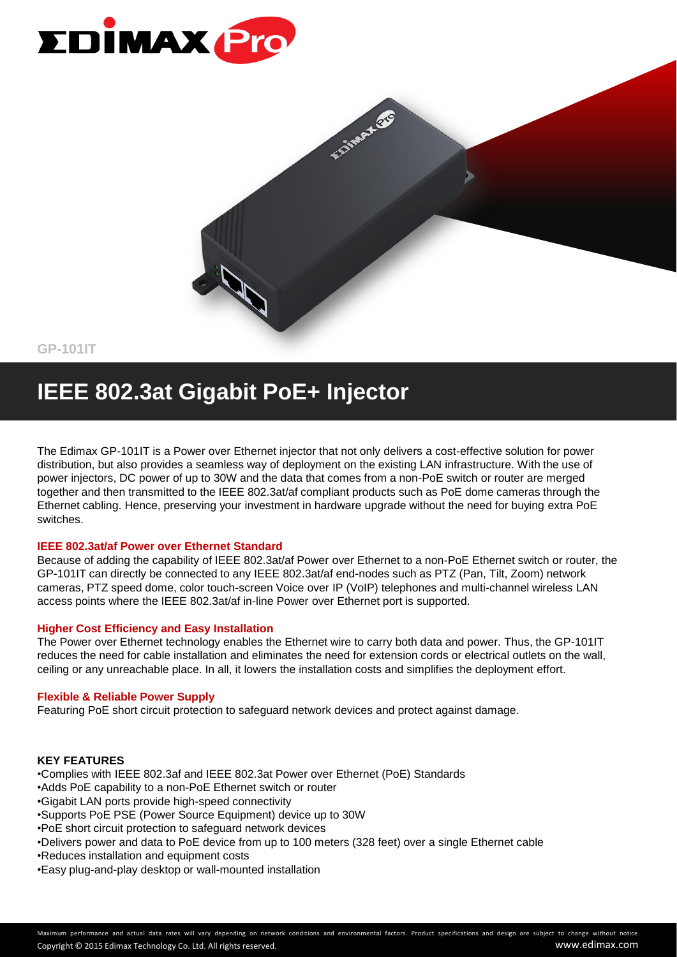



**GP-101IT**

### **IEEE 802.3at Gigabit PoE+ Injector**

The Edimax GP-101IT is a Power over Ethernet injector that not only delivers a cost-effective solution for power distribution, but also provides a seamless way of deployment on the existing LAN infrastructure. With the use of power injectors, DC power of up to 30W and the data that comes from a non-PoE switch or router are merged together and then transmitted to the IEEE 802.3at/af compliant products such as PoE dome cameras through the Ethernet cabling. Hence, preserving your investment in hardware upgrade without the need for buying extra PoE switches.

#### **IEEE 802.3at/af Power over Ethernet Standard**

Because of adding the capability of IEEE 802.3at/af Power over Ethernet to a non-PoE Ethernet switch or router, the GP-101IT can directly be connected to any IEEE 802.3at/af end-nodes such as PTZ (Pan, Tilt, Zoom) network cameras, PTZ speed dome, color touch-screen Voice over IP (VoIP) telephones and multi-channel wireless LAN access points where the IEEE 802.3at/af in-line Power over Ethernet port is supported.

#### **Higher Cost Efficiency and Easy Installation**

The Power over Ethernet technology enables the Ethernet wire to carry both data and power. Thus, the GP-101IT reduces the need for cable installation and eliminates the need for extension cords or electrical outlets on the wall, ceiling or any unreachable place. In all, it lowers the installation costs and simplifies the deployment effort.

#### **Flexible & Reliable Power Supply**

Featuring PoE short circuit protection to safeguard network devices and protect against damage.

#### **KEY FEATURES**

•Complies with IEEE 802.3af and IEEE 802.3at Power over Ethernet (PoE) Standards

- •Adds PoE capability to a non-PoE Ethernet switch or router
- •Gigabit LAN ports provide high-speed connectivity
- •Supports PoE PSE (Power Source Equipment) device up to 30W
- •PoE short circuit protection to safeguard network devices
- •Delivers power and data to PoE device from up to 100 meters (328 feet) over a single Ethernet cable
- •Reduces installation and equipment costs
- •Easy plug-and-play desktop or wall-mounted installation